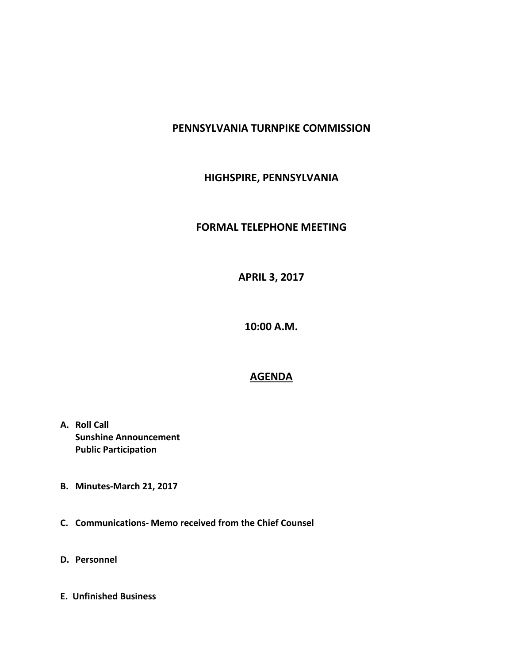## **PENNSYLVANIA TURNPIKE COMMISSION**

## **HIGHSPIRE, PENNSYLVANIA**

## **FORMAL TELEPHONE MEETING**

**APRIL 3, 2017**

**10:00 A.M.**

## **AGENDA**

- **A. Roll Call Sunshine Announcement Public Participation**
- **B. Minutes-March 21, 2017**
- **C. Communications- Memo received from the Chief Counsel**
- **D. Personnel**
- **E. Unfinished Business**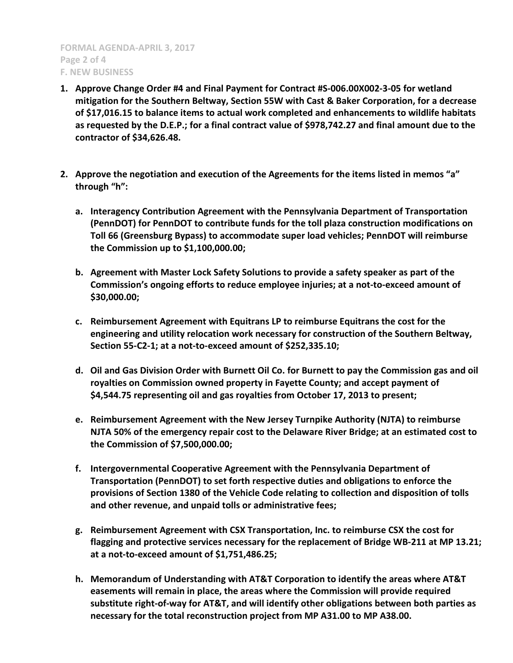**FORMAL AGENDA-APRIL 3, 2017 Page 2 of 4 F. NEW BUSINESS**

- **1. Approve Change Order #4 and Final Payment for Contract #S-006.00X002-3-05 for wetland mitigation for the Southern Beltway, Section 55W with Cast & Baker Corporation, for a decrease of \$17,016.15 to balance items to actual work completed and enhancements to wildlife habitats as requested by the D.E.P.; for a final contract value of \$978,742.27 and final amount due to the contractor of \$34,626.48.**
- **2. Approve the negotiation and execution of the Agreements for the items listed in memos "a" through "h":**
	- **a. Interagency Contribution Agreement with the Pennsylvania Department of Transportation (PennDOT) for PennDOT to contribute funds for the toll plaza construction modifications on Toll 66 (Greensburg Bypass) to accommodate super load vehicles; PennDOT will reimburse the Commission up to \$1,100,000.00;**
	- **b. Agreement with Master Lock Safety Solutions to provide a safety speaker as part of the Commission's ongoing efforts to reduce employee injuries; at a not-to-exceed amount of \$30,000.00;**
	- **c. Reimbursement Agreement with Equitrans LP to reimburse Equitrans the cost for the engineering and utility relocation work necessary for construction of the Southern Beltway, Section 55-C2-1; at a not-to-exceed amount of \$252,335.10;**
	- **d. Oil and Gas Division Order with Burnett Oil Co. for Burnett to pay the Commission gas and oil royalties on Commission owned property in Fayette County; and accept payment of \$4,544.75 representing oil and gas royalties from October 17, 2013 to present;**
	- **e. Reimbursement Agreement with the New Jersey Turnpike Authority (NJTA) to reimburse NJTA 50% of the emergency repair cost to the Delaware River Bridge; at an estimated cost to the Commission of \$7,500,000.00;**
	- **f. Intergovernmental Cooperative Agreement with the Pennsylvania Department of Transportation (PennDOT) to set forth respective duties and obligations to enforce the provisions of Section 1380 of the Vehicle Code relating to collection and disposition of tolls and other revenue, and unpaid tolls or administrative fees;**
	- **g. Reimbursement Agreement with CSX Transportation, Inc. to reimburse CSX the cost for flagging and protective services necessary for the replacement of Bridge WB-211 at MP 13.21; at a not-to-exceed amount of \$1,751,486.25;**
	- **h. Memorandum of Understanding with AT&T Corporation to identify the areas where AT&T easements will remain in place, the areas where the Commission will provide required substitute right-of-way for AT&T, and will identify other obligations between both parties as necessary for the total reconstruction project from MP A31.00 to MP A38.00.**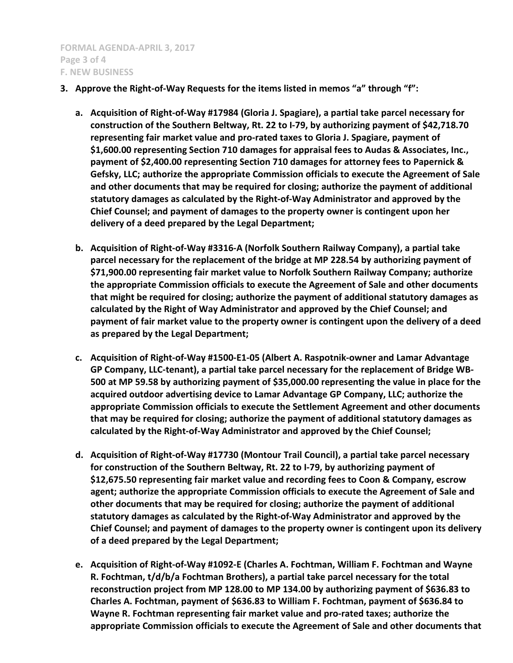- **3. Approve the Right-of-Way Requests for the items listed in memos "a" through "f":**
	- **a. Acquisition of Right-of-Way #17984 (Gloria J. Spagiare), a partial take parcel necessary for construction of the Southern Beltway, Rt. 22 to I-79, by authorizing payment of \$42,718.70 representing fair market value and pro-rated taxes to Gloria J. Spagiare, payment of \$1,600.00 representing Section 710 damages for appraisal fees to Audas & Associates, Inc., payment of \$2,400.00 representing Section 710 damages for attorney fees to Papernick & Gefsky, LLC; authorize the appropriate Commission officials to execute the Agreement of Sale and other documents that may be required for closing; authorize the payment of additional statutory damages as calculated by the Right-of-Way Administrator and approved by the Chief Counsel; and payment of damages to the property owner is contingent upon her delivery of a deed prepared by the Legal Department;**
	- **b. Acquisition of Right-of-Way #3316-A (Norfolk Southern Railway Company), a partial take parcel necessary for the replacement of the bridge at MP 228.54 by authorizing payment of \$71,900.00 representing fair market value to Norfolk Southern Railway Company; authorize the appropriate Commission officials to execute the Agreement of Sale and other documents that might be required for closing; authorize the payment of additional statutory damages as calculated by the Right of Way Administrator and approved by the Chief Counsel; and payment of fair market value to the property owner is contingent upon the delivery of a deed as prepared by the Legal Department;**
	- **c. Acquisition of Right-of-Way #1500-E1-05 (Albert A. Raspotnik-owner and Lamar Advantage GP Company, LLC-tenant), a partial take parcel necessary for the replacement of Bridge WB-500 at MP 59.58 by authorizing payment of \$35,000.00 representing the value in place for the acquired outdoor advertising device to Lamar Advantage GP Company, LLC; authorize the appropriate Commission officials to execute the Settlement Agreement and other documents that may be required for closing; authorize the payment of additional statutory damages as calculated by the Right-of-Way Administrator and approved by the Chief Counsel;**
	- **d. Acquisition of Right-of-Way #17730 (Montour Trail Council), a partial take parcel necessary for construction of the Southern Beltway, Rt. 22 to I-79, by authorizing payment of \$12,675.50 representing fair market value and recording fees to Coon & Company, escrow agent; authorize the appropriate Commission officials to execute the Agreement of Sale and other documents that may be required for closing; authorize the payment of additional statutory damages as calculated by the Right-of-Way Administrator and approved by the Chief Counsel; and payment of damages to the property owner is contingent upon its delivery of a deed prepared by the Legal Department;**
	- **e. Acquisition of Right-of-Way #1092-E (Charles A. Fochtman, William F. Fochtman and Wayne R. Fochtman, t/d/b/a Fochtman Brothers), a partial take parcel necessary for the total reconstruction project from MP 128.00 to MP 134.00 by authorizing payment of \$636.83 to Charles A. Fochtman, payment of \$636.83 to William F. Fochtman, payment of \$636.84 to Wayne R. Fochtman representing fair market value and pro-rated taxes; authorize the appropriate Commission officials to execute the Agreement of Sale and other documents that**